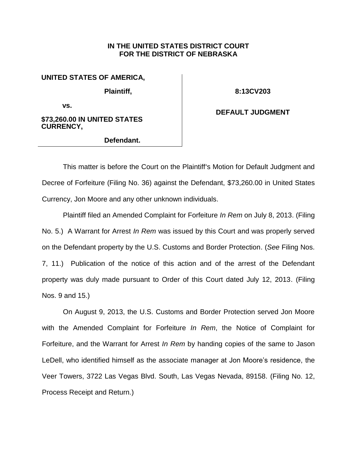## **IN THE UNITED STATES DISTRICT COURT FOR THE DISTRICT OF NEBRASKA**

## **UNITED STATES OF AMERICA,**

**Plaintiff,** 

**8:13CV203**

**vs.** 

#### **\$73,260.00 IN UNITED STATES CURRENCY,**

### **Defendant.**

# **DEFAULT JUDGMENT**

This matter is before the Court on the Plaintiff's Motion for Default Judgment and Decree of Forfeiture (Filing No. 36) against the Defendant, \$73,260.00 in United States Currency, Jon Moore and any other unknown individuals.

Plaintiff filed an Amended Complaint for Forfeiture *In Rem* on July 8, 2013. (Filing No. 5.) A Warrant for Arrest *In Rem* was issued by this Court and was properly served on the Defendant property by the U.S. Customs and Border Protection. (*See* Filing Nos. 7, 11.) Publication of the notice of this action and of the arrest of the Defendant property was duly made pursuant to Order of this Court dated July 12, 2013. (Filing Nos. 9 and 15.)

On August 9, 2013, the U.S. Customs and Border Protection served Jon Moore with the Amended Complaint for Forfeiture *In Rem*, the Notice of Complaint for Forfeiture, and the Warrant for Arrest *In Rem* by handing copies of the same to Jason LeDell, who identified himself as the associate manager at Jon Moore's residence, the Veer Towers, 3722 Las Vegas Blvd. South, Las Vegas Nevada, 89158. (Filing No. 12, Process Receipt and Return.)